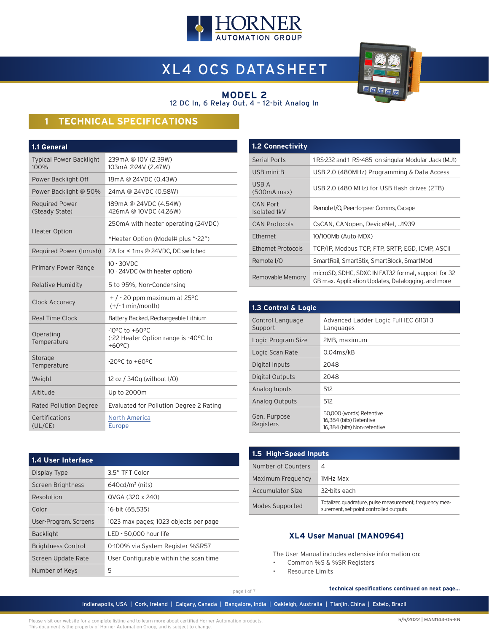

# XL4 OCS DATASHEET



#### **MODEL 2** 12 DC In, 6 Relay Out, 4 – 12-bit Analog In

## **1 TECHNICAL SPECIFICATIONS**

| 1.1 General                             |                                                                                                |  |  |  |
|-----------------------------------------|------------------------------------------------------------------------------------------------|--|--|--|
| <b>Typical Power Backlight</b><br>100%  | 239mA @ 10V (2.39W)<br>103mA @24V (2.47W)                                                      |  |  |  |
| Power Backlight Off                     | 18mA @ 24VDC (0.43W)                                                                           |  |  |  |
| Power Backlight @ 50%                   | 24mA @ 24VDC (0.58W)                                                                           |  |  |  |
| <b>Required Power</b><br>(Steady State) | 189mA @ 24VDC (4.54W)<br>426mA @ 10VDC (4.26W)                                                 |  |  |  |
|                                         | 250mA with heater operating (24VDC)                                                            |  |  |  |
| <b>Heater Option</b>                    | *Heater Option (Model# plus "-22")                                                             |  |  |  |
| Required Power (Inrush)                 | 2A for < 1ms @ 24VDC, DC switched                                                              |  |  |  |
| <b>Primary Power Range</b>              | $10 - 30$ VDC<br>10 - 24VDC (with heater option)                                               |  |  |  |
| <b>Relative Humidity</b>                | 5 to 95%, Non-Condensing                                                                       |  |  |  |
| Clock Accuracy                          | $+$ / - 20 ppm maximum at 25 °C<br>$(+/-1$ min/month)                                          |  |  |  |
| Real Time Clock                         | Battery Backed, Rechargeable Lithium                                                           |  |  |  |
| Operating<br>Temperature                | $-10^{\circ}$ C to $+60^{\circ}$ C<br>(-22 Heater Option range is -40°C to<br>$+60^{\circ}$ C) |  |  |  |
| Storage<br>Temperature                  | $-20^{\circ}$ C to $+60^{\circ}$ C                                                             |  |  |  |
| Weight                                  | 12 oz / 340g (without I/O)                                                                     |  |  |  |
| Altitude                                | Up to 2000m                                                                                    |  |  |  |
| <b>Rated Pollution Degree</b>           | Evaluated for Pollution Degree 2 Rating                                                        |  |  |  |
| Certifications<br>(UL/CE)               | <b>North America</b><br>Europe                                                                 |  |  |  |

| <b>1.2 Connectivity</b>  |                                                                                                           |  |  |
|--------------------------|-----------------------------------------------------------------------------------------------------------|--|--|
| Serial Ports             | 1RS-232 and 1 RS-485 on singular Modular Jack (MJ1)                                                       |  |  |
| USB mini-B               | USB 2.0 (480MHz) Programming & Data Access                                                                |  |  |
| USB A<br>(500mA max)     | USB 2.0 (480 MHz) for USB flash drives (2TB)                                                              |  |  |
| CAN Port<br>Isolated 1kV | Remote I/O, Peer-to-peer Comms, Cscape                                                                    |  |  |
| <b>CAN Protocols</b>     | CsCAN, CANopen, DeviceNet, J1939                                                                          |  |  |
| Ethernet                 | 10/100Mb (Auto-MDX)                                                                                       |  |  |
| Ethernet Protocols       | TCP/IP, Modbus TCP, FTP, SRTP, EGD, ICMP, ASCII                                                           |  |  |
| Remote I/O               | SmartRail, SmartStix, SmartBlock, SmartMod                                                                |  |  |
| Removable Memory         | microSD, SDHC, SDXC IN FAT32 format, support for 32<br>GB max. Application Updates, Datalogging, and more |  |  |

| 1.3 Control & Logic         |                                                                                    |  |  |  |
|-----------------------------|------------------------------------------------------------------------------------|--|--|--|
| Control Language<br>Support | Advanced Ladder Logic Full IEC 61131-3<br>Languages                                |  |  |  |
| Logic Program Size          | 2MB, maximum                                                                       |  |  |  |
| Logic Scan Rate             | $0.04$ ms/kB                                                                       |  |  |  |
| Digital Inputs              | 2048                                                                               |  |  |  |
| Digital Outputs             | 2048                                                                               |  |  |  |
| Analog Inputs               | 512                                                                                |  |  |  |
| Analog Outputs              | 512                                                                                |  |  |  |
| Gen. Purpose<br>Registers   | 50.000 (words) Retentive<br>16,384 (bits) Retentive<br>16.384 (bits) Non-retentive |  |  |  |

| 1.4 User Interface        |                                        |
|---------------------------|----------------------------------------|
| Display Type              | 3.5" TFT Color                         |
| Screen Brightness         | $640cd/m2$ (nits)                      |
| Resolution                | QVGA (320 x 240)                       |
| Color                     | 16-bit (65,535)                        |
| User-Program. Screens     | 1023 max pages; 1023 objects per page  |
| <b>Backlight</b>          | LED - 50,000 hour life                 |
| <b>Brightness Control</b> | 0-100% via System Register %SR57       |
| Screen Update Rate        | User Configurable within the scan time |
| Number of Keys            | 5                                      |

| 1.5 High-Speed Inputs |                                                                                                    |  |  |
|-----------------------|----------------------------------------------------------------------------------------------------|--|--|
| Number of Counters    | 4                                                                                                  |  |  |
| Maximum Frequency     | 1MHz Max                                                                                           |  |  |
| Accumulator Size      | 32-bits each                                                                                       |  |  |
| Modes Supported       | Totalizer, quadrature, pulse measurement, frequency mea-<br>surement, set-point controlled outputs |  |  |

### **XL4 User Manual [MAN0964]**

The User Manual includes extensive information on:

- Common %S & %SR Registers
- Resource Limits

**technical specifications continued on next page...**

page 1 of 7

Indianapolis, USA | Cork, Ireland | Calgary, Canada | Bangalore, India | Oakleigh, Australia | Tianjin, China | Esteio, Brazil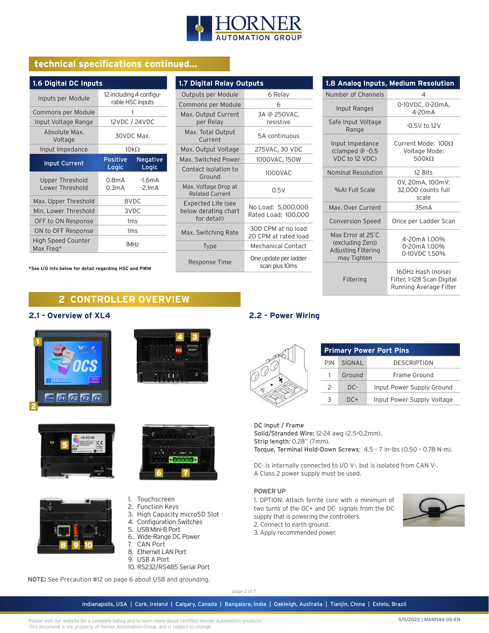

## **technical specifications continued...**

| 1.6 Digital DC Inputs                  |                                             |                      |  |  |
|----------------------------------------|---------------------------------------------|----------------------|--|--|
| Inputs per Module                      | 12 including 4 configu-<br>rable HSC inputs |                      |  |  |
| Commons per Module                     |                                             | 1                    |  |  |
| Input Voltage Range                    |                                             | 12VDC / 24VDC        |  |  |
| Absolute Max.<br>Voltage               | 30VDC Max.                                  |                      |  |  |
| Input Impedance                        |                                             | $10k\Omega$          |  |  |
| <b>Input Current</b>                   | Positive<br>Logic                           | Negative<br>Logic    |  |  |
| Upper Threshold<br>Lower Threshold     | 0.8 <sub>m</sub> A<br>0.3 <sub>m</sub> A    | $-1.6mA$<br>$-2.1mA$ |  |  |
| Max. Upper Threshold                   | 8VDC                                        |                      |  |  |
| Min. Lower Threshold                   | 3VDC                                        |                      |  |  |
| OFF to ON Response                     | 1 <sub>ms</sub>                             |                      |  |  |
| ON to OFF Response                     | 1ms                                         |                      |  |  |
| <b>High Speed Counter</b><br>Max Freq* | 1MH <sub>7</sub>                            |                      |  |  |

**\*See I/O info below for detail regarding HSC and PWM**

| 1.7 Digital Relay Outputs                                 |                                            |  |  |  |
|-----------------------------------------------------------|--------------------------------------------|--|--|--|
| Outputs per Module                                        | 6 Relay                                    |  |  |  |
| Commons per Module                                        | 6                                          |  |  |  |
| Max. Output Current<br>per Relay                          | 3A @ 250VAC,<br>resistive                  |  |  |  |
| Max. Total Output<br>Current                              | 5A continuous                              |  |  |  |
| Max. Output Voltage                                       | 275VAC, 30 VDC                             |  |  |  |
| Max. Switched Power                                       | 1000VAC, 150W                              |  |  |  |
| Contact Isolation to<br>Ground                            | 1000VAC                                    |  |  |  |
| Max. Voltage Drop at<br><b>Related Current</b>            | 0.5V                                       |  |  |  |
| Expected Life (see<br>below derating chart<br>for detail) | No Load: 5,000,000<br>Rated Load: 100,000  |  |  |  |
| Max. Switching Rate                                       | 300 CPM at no load<br>20 CPM at rated load |  |  |  |
| <b>Type</b>                                               | Mechanical Contact                         |  |  |  |
| Response Time                                             | One update per ladder<br>scan plus 10ms    |  |  |  |

| 1.8 Analog Inputs, Medium Resolution                                        |                                                                            |  |  |  |
|-----------------------------------------------------------------------------|----------------------------------------------------------------------------|--|--|--|
| Number of Channels                                                          | 4                                                                          |  |  |  |
| Input Ranges                                                                | 0-10VDC, 0-20mA,<br>$4-20mA$                                               |  |  |  |
| Safe Input Voltage<br>Range                                                 | $-0.5V$ to 12V                                                             |  |  |  |
| Input Impedance<br>(clamped @ -0.5<br>VDC to 12 VDC)                        | Current Mode: $100\Omega$<br>Voltage Mode:<br>500 $k\Omega$                |  |  |  |
| <b>Nominal Resolution</b>                                                   | 12 Bits                                                                    |  |  |  |
| %AI Full Scale                                                              | 0V, 20mA, 100mV:<br>32,000 counts full<br>scale                            |  |  |  |
| Max. Over Current                                                           | 35mA                                                                       |  |  |  |
| <b>Conversion Speed</b>                                                     | Once per Ladder Scan                                                       |  |  |  |
| Max Frror at 25°C<br>(excluding Zero)<br>Adjusting Filtering<br>may Tighten | 4-20mA 1.00%<br>0-20mA 1.00%<br>0-10VDC 1.50%                              |  |  |  |
| Filtering                                                                   | 160Hz Hash (noise)<br>Filter, 1-128 Scan Digital<br>Running Average Filter |  |  |  |

## **2 CONTROLLER OVERVIEW**

#### **2.1 - Overview of XL4**











- 1. Touchscreen
- 2. Function Keys
- 3. High Capacity microSD Slot
- 4. Configuration Switches
- 5. USB Mini-B Port
- 6. Wide-Range DC Power
- 7. CAN Port
- 8. Ethernet LAN Port 9. USB A Port
- 
- 10. RS232/RS485 Serial Port

NOTE: See Precaution #12 on page 6 about USB and grounding.

page 2 of 7

Indianapolis, USA | Cork, Ireland | Calgary, Canada | Bangalore, India | Oakleigh, Australia | Tianjin, China | Esteio, Brazil

Please visit our website for a complete listing and to learn more about certified Horner Automation products. This document is the property of Horner Automation Group, and is subject to change.

#### **2.2 - Power Wiring**

| <b>Primary Power Port Pins</b> |        |                            |  |  |
|--------------------------------|--------|----------------------------|--|--|
| PIN                            | SIGNAL | <b>DESCRIPTION</b>         |  |  |
|                                | Ground | Frame Ground               |  |  |
| 2                              | DC-    | Input Power Supply Ground  |  |  |
|                                | $DC+$  | Input Power Supply Voltage |  |  |

#### DC Input / Frame

Solid/Stranded Wire: 12-24 awg (2.5-0.2mm). Strip length: 0.28" (7mm). Torque, Terminal Hold-Down Screws: 4.5 – 7 in-lbs (0.50 – 0.78 N-m).

DC- is internally connected to I/O V-, but is isolated from CAN V-. A Class 2 power supply must be used.

#### POWER UP

1. OPTION: Attach ferrite core with a minimum of two turns of the DC+ and DC- signals from the DC supply that is powering the controllers. 2. Connect to earth ground. 3. Apply recommended power.

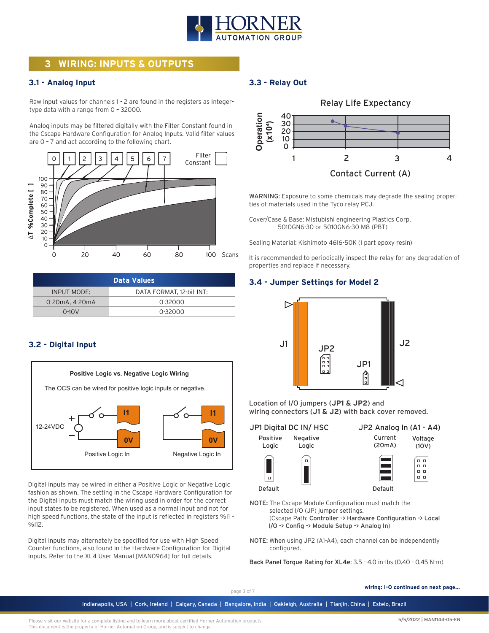

## **3 WIRING: INPUTS & OUTPUTS**

#### **3.1 - Analog Input**

Raw input values for channels 1 - 2 are found in the registers as Integertype data with a range from 0 – 32000.

Analog inputs may be filtered digitally with the Filter Constant found in the Cscape Hardware Configuration for Analog Inputs. Valid filter values are 0 – 7 and act according to the following chart.



| Data Values        |                          |  |
|--------------------|--------------------------|--|
| <b>INPUT MODE:</b> | DATA FORMAT, 12-bit INT: |  |
| 0-20mA, 4-20mA     | 0-32000                  |  |
| $0-10V$            | 0-32000                  |  |

#### **3.2 - Digital Input**



Digital inputs may be wired in either a Positive Logic or Negative Logic fashion as shown. The setting in the Cscape Hardware Configuration for the Digital Inputs must match the wiring used in order for the correct input states to be registered. When used as a normal input and not for high speed functions, the state of the input is reflected in registers %I1 – %I12.

Digital inputs may alternately be specified for use with High Speed Counter functions, also found in the Hardware Configuration for Digital Inputs. Refer to the XL4 User Manual [MAN0964] for full details.

### **3.3 - Relay Out**



WARNING: Exposure to some chemicals may degrade the sealing properties of materials used in the Tyco relay PCJ.

Cover/Case & Base: Mistubishi engineering Plastics Corp. 5010GN6-30 or 5010GN6-30 M8 (PBT)

Sealing Material: Kishimoto 4616-50K (I part epoxy resin)

It is recommended to periodically inspect the relay for any degradation of properties and replace if necessary.

#### **3.4 - Jumper Settings for Model 2**



Location of I/O jumpers (**JP1 & JP2**) and wiring connectors (**J1 & J2**) with back cover removed.

JP1 Digital DC IN/ HSC

Positive Logic Negative Logic





Default

Default NOTE: The Cscape Module Configuration must match the selected I/O (JP) jumper settings. (Cscape Path: Controller -> Hardware Configuration -> Local

I/O -> Config -> Module Setup -> Analog In)

NOTE: When using JP2 (A1-A4), each channel can be independently configured.

Back Panel Torque Rating for XL4e: 3.5 - 4.0 in-lbs (0.40 - 0.45 N-m)

page 3 of 7

Indianapolis, USA | Cork, Ireland | Calgary, Canada | Bangalore, India | Oakleigh, Australia | Tianjin, China | Esteio, Brazil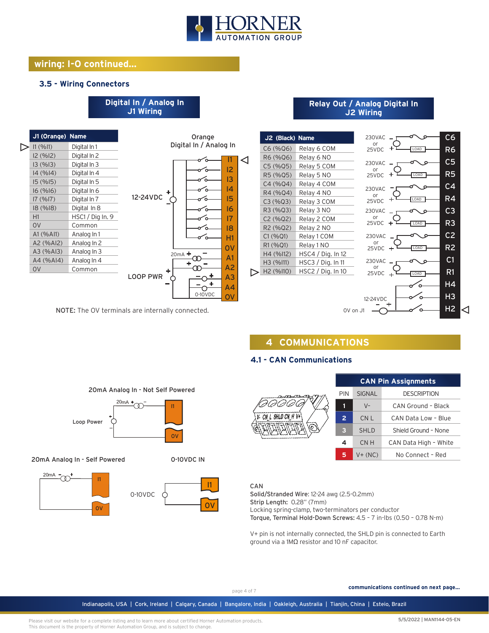

### **wiring: I-O continued...**

#### **3.5 - Wiring Connectors**

#### **J1 Wiring J1 (Orange) Name** Orange Digital In / Analog In  $\triangleright$  I1 (%I1) Digital In 1 I2 (%I2) Digital In 2 I1 ⊲ I3 (%I3) Digital In 3 I2 ъ I4 (%I4) Digital In 4 I3 I5 (%I5) Digital In 5 I4 I6 (%I6) Digital In 6 12-24VDC + I5 I7 (%I7) Digital In 7 ъ I8 (%I8) Digital In 8 I6 ົດ H1 HSC1 / Dig In. 9 I7 ัก 0V Common る こうしょう こうしょう I8 A1 (%AI1) Analog In 1 H1 A2 (%AI2) Analog In 2 0V A3 (%AI3) Analog In 3 20mA  $\infty$ A1 A4 (%AI4) Analog In 4 4 A2 ത 0V Common LOOP PWR A3 O  $\ddot{}$ O A4 0-10VDC OV

**Digital In / Analog In**

NOTE: The OV terminals are internally connected.

20mA

Loop Power

I1

 $\alpha$ 

20mA Analog In - Self Powered

20mA

 $\infty$ 

20mA Analog In - Not Self Powered

m

0-10VDC

I1

 $\Omega$ 

0-10VDC IN

0V

I1

#### **Relay Out / Analog Digital In J2 Wiring**



## **4 COMMUNICATIONS**

## **4.1 - CAN Communications**



| <b>CAN Pin Assignments</b> |                                     |                       |  |  |  |
|----------------------------|-------------------------------------|-----------------------|--|--|--|
| PIN                        | <b>DESCRIPTION</b><br><b>SIGNAL</b> |                       |  |  |  |
| 1                          | $V -$                               | CAN Ground - Black    |  |  |  |
| $\overline{2}$             | CN L                                | CAN Data Low - Blue   |  |  |  |
| 3                          | <b>SHLD</b>                         | Shield Ground - None  |  |  |  |
| 4                          | CN H                                | CAN Data High - White |  |  |  |
| 5                          | $V + (NC)$                          | No Connect - Red      |  |  |  |

#### CAN

Solid/Stranded Wire: 12-24 awg (2.5-0.2mm) Strip Length: 0.28" (7mm)

Locking spring-clamp, two-terminators per conductor

Torque, Terminal Hold-Down Screws: 4.5 – 7 in-lbs (0.50 – 0.78 N-m)

V+ pin is not internally connected, the SHLD pin is connected to Earth ground via a 1MΩ resistor and 10 nF capacitor.

**communications continued on next page...**

page 4 of 7

Indianapolis, USA | Cork, Ireland | Calgary, Canada | Bangalore, India | Oakleigh, Australia | Tianjin, China | Esteio, Brazil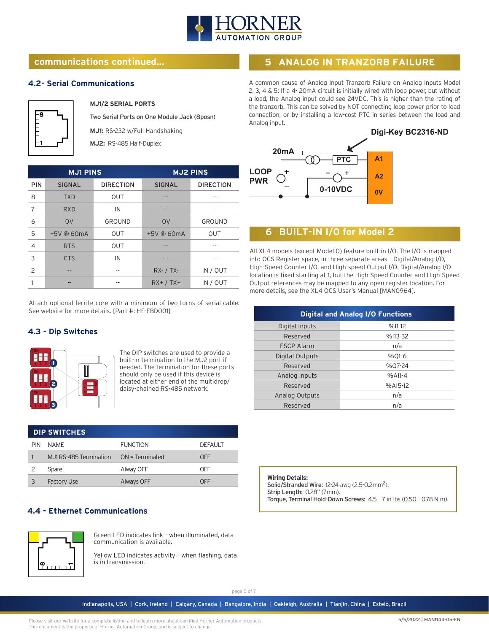

## **communications continued...**

#### **4.2- Serial Communications**



**MJ1/2 SERIAL PORTS**

Two Serial Ports on One Module Jack (8posn)

**MJ1:** RS-232 w/Full Handshaking

**MJ2:** RS-485 Half-Duplex

| <b>MJ1 PINS</b> |                |                  | <b>MJ2 PINS</b> |                  |
|-----------------|----------------|------------------|-----------------|------------------|
| <b>PIN</b>      | <b>SIGNAL</b>  | <b>DIRECTION</b> | <b>SIGNAL</b>   | <b>DIRECTION</b> |
| 8               | <b>TXD</b>     | <b>OUT</b>       |                 |                  |
| 7               | <b>RXD</b>     | IN               | --              | --               |
| 6               | O <sub>V</sub> | GROUND           | O <sub>V</sub>  | GROUND           |
| 5               | +5V @ 60mA     | <b>OUT</b>       | +5V @ 60mA      | <b>OUT</b>       |
| 4               | <b>RTS</b>     | OUT              |                 |                  |
| 3               | <b>CTS</b>     | IN               |                 |                  |
| 2               |                |                  | $RX - / TX -$   | IN / OUT         |
|                 |                | --               | $RX+ / TX+$     | IN / OUT         |

Attach optional ferrite core with a minimum of two turns of serial cable. See website for more details. [Part #: HE-FBD001]

### **4.3 - Dip Switches**



The DIP switches are used to provide a built-in termination to the MJ2 port if needed. The termination for these ports should only be used if this device is located at either end of the multidrop/ daisy-chained RS-485 network.

| <b>DIP SWITCHES</b> |                         |                   |                |  |
|---------------------|-------------------------|-------------------|----------------|--|
| <b>PIN</b>          | NAMF                    | <b>FUNCTION</b>   | <b>DEFAULT</b> |  |
|                     | M.J1 RS-485 Termination | $ON = Terminated$ | OFF            |  |
|                     | Spare                   | Alway OFF         | OFF            |  |
|                     | <b>Factory Use</b>      | Always OFF        | OFF            |  |

### **4.4 - Ethernet Communications**



Green LED indicates link – when illuminated, data communication is available.

Yellow LED indicates activity – when flashing, data is in transmission.

## **5 ANALOG IN TRANZORB FAILURE**

A common cause of Analog Input Tranzorb Failure on Analog Inputs Model 2, 3, 4 & 5: If a 4- 20mA circuit is initially wired with loop power, but without a load, the Analog input could see 24VDC. This is higher than the rating of the tranzorb. This can be solved by NOT connecting loop power prior to load connection, or by installing a low-cost PTC in series between the load and Analog input.



## **6 BUILT-IN I/O for Model 2**

All XL4 models (except Model 0) feature built-in I/O. The I/O is mapped into OCS Register space, in three separate areas – Digital/Analog I/O, High-Speed Counter I/O, and High-speed Output I/O. Digital/Analog I/O location is fixed starting at 1, but the High-Speed Counter and High-Speed Output references may be mapped to any open register location. For more details, see the XL4 OCS User's Manual [MAN0964].

| <b>Digital and Analog I/O Functions</b> |           |  |  |  |
|-----------------------------------------|-----------|--|--|--|
| Digital Inputs                          | $%11-12$  |  |  |  |
| Reserved                                | %I13-32   |  |  |  |
| <b>ESCP Alarm</b>                       | n/a       |  |  |  |
| Digital Outputs                         | $%$ 01-6  |  |  |  |
| Reserved                                | %07-24    |  |  |  |
| Analog Inputs                           | $%$ AI1-4 |  |  |  |
| Reserved                                | $%AI5-12$ |  |  |  |
| <b>Analog Outputs</b>                   | n/a       |  |  |  |
| Reserved                                | n/a       |  |  |  |
|                                         |           |  |  |  |

**Wiring Details:** Solid/Stranded Wire: 12-24 awg (2.5-0.2mm<sup>2</sup>). Strip Length: 0.28" (7mm). Torque, Terminal Hold-Down Screws: 4.5 – 7 in-lbs (0.50 – 0.78 N-m).

page 5 of 7

Indianapolis, USA | Cork, Ireland | Calgary, Canada | Bangalore, India | Oakleigh, Australia | Tianjin, China | Esteio, Brazil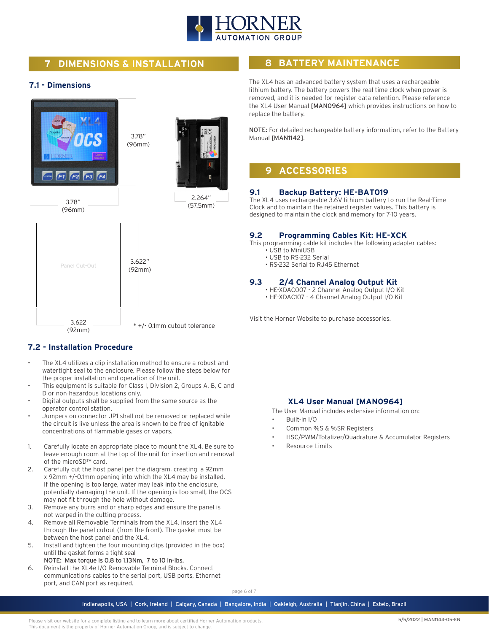

## **7 DIMENSIONS & INSTALLATION**

#### **7.1 - Dimensions**



### **7.2 - Installation Procedure**

- The XL4 utilizes a clip installation method to ensure a robust and watertight seal to the enclosure. Please follow the steps below for the proper installation and operation of the unit.
- This equipment is suitable for Class I, Division 2, Groups A, B, C and D or non-hazardous locations only.
- Digital outputs shall be supplied from the same source as the operator control station.
- Jumpers on connector JP1 shall not be removed or replaced while the circuit is live unless the area is known to be free of ignitable concentrations of flammable gases or vapors.
- 1. Carefully locate an appropriate place to mount the XL4. Be sure to leave enough room at the top of the unit for insertion and removal of the microSD™ card.
- 2. Carefully cut the host panel per the diagram, creating a 92mm x 92mm +/-0.1mm opening into which the XL4 may be installed. If the opening is too large, water may leak into the enclosure, potentially damaging the unit. If the opening is too small, the OCS may not fit through the hole without damage.
- 3. Remove any burrs and or sharp edges and ensure the panel is not warped in the cutting process.
- 4. Remove all Removable Terminals from the XL4. Insert the XL4 through the panel cutout (from the front). The gasket must be between the host panel and the XL4.
- 5. Install and tighten the four mounting clips (provided in the box) until the gasket forms a tight seal
- NOTE: Max torque is 0.8 to 1.13Nm, 7 to 10 in-lbs. 6. Reinstall the XL4e I/O Removable Terminal Blocks. Connect communications cables to the serial port, USB ports, Ethernet port, and CAN port as required.

## **8 BATTERY MAINTENANCE**

The XL4 has an advanced battery system that uses a rechargeable lithium battery. The battery powers the real time clock when power is removed, and it is needed for register data retention. Please reference the XL4 User Manual [MAN0964] which provides instructions on how to replace the battery.

NOTE: For detailed rechargeable battery information, refer to the Battery Manual [MAN1142].

## **9 ACCESSORIES**

#### **9.1 Backup Battery: HE-BAT019**

The XL4 uses rechargeable 3.6V lithium battery to run the Real-Time Clock and to maintain the retained register values. This battery is designed to maintain the clock and memory for 7-10 years.

#### **9.2 Programming Cables Kit: HE-XCK**

This programming cable kit includes the following adapter cables:

- USB to MiniUSB
- USB to RS-232 Serial
- RS-232 Serial to RJ45 Ethernet

#### **9.3 2/4 Channel Analog Output Kit**

- HE-XDAC007 2 Channel Analog Output I/O Kit
- HE-XDAC107 4 Channel Analog Output I/O Kit

Visit the Horner Website to purchase accessories.

### **XL4 User Manual [MAN0964]**

The User Manual includes extensive information on:

- Built-in I/O
- Common %S & %SR Registers
- HSC/PWM/Totalizer/Quadrature & Accumulator Registers
	- Resource Limits

page 6 of 7

Indianapolis, USA | Cork, Ireland | Calgary, Canada | Bangalore, India | Oakleigh, Australia | Tianjin, China | Esteio, Brazil